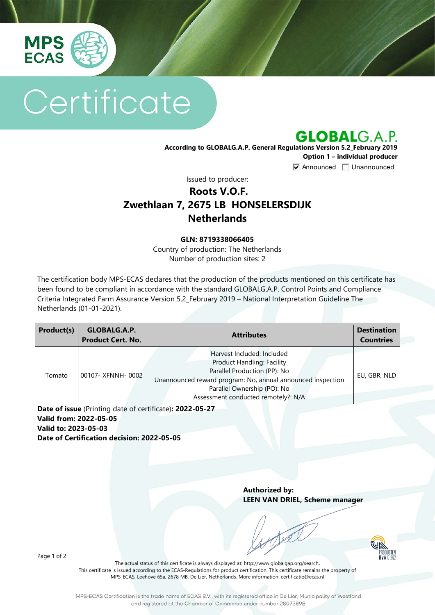

# Certificate

**GLOBALG.A.P.** 

**According to GLOBALG.A.P. General Regulations Version 5.2\_February 2019 Option 1 – individual producer**

 $\nabla$  Announced  $\nabla$  Unannounced

Issued to producer:

## **Roots V.O.F. Zwethlaan 7, 2675 LB HONSELERSDIJK Netherlands**

#### **GLN: 8719338066405**

Country of production: The Netherlands Number of production sites: 2

The certification body MPS-ECAS declares that the production of the products mentioned on this certificate has been found to be compliant in accordance with the standard GLOBALG.A.P. Control Points and Compliance Criteria Integrated Farm Assurance Version 5.2\_February 2019 – National Interpretation Guideline The Netherlands (01-01-2021).

| Product(s) | GLOBALG.A.P.<br><b>Product Cert. No.</b> | <b>Attributes</b>                                                                                                                                                                                                             | <b>Destination</b><br><b>Countries</b> |
|------------|------------------------------------------|-------------------------------------------------------------------------------------------------------------------------------------------------------------------------------------------------------------------------------|----------------------------------------|
| Tomato     | 00107- XFNNH-0002                        | Harvest Included: Included<br>Product Handling: Facility<br>Parallel Production (PP): No<br>Unannounced reward program: No, annual announced inspection<br>Parallel Ownership (PO): No<br>Assessment conducted remotely?: N/A | EU, GBR, NLD                           |

**Date of issue** (Printing date of certificate)**: 2022-05-27 Valid from: 2022-05-05 Valid to: 2023-05-03 Date of Certification decision: 2022-05-05**

> **Authorized by: LEEN VAN DRIEL, Scheme manager**

> > PRODUCTEN

Page 1 of 2

The actual status of this certificate is always displayed at: <http://www.globalgap.org/search>**.**  This certificate is issued according to the ECAS-Regulations for product certification. This certificate remains the property of MPS-ECAS, Leehove 65a, 2678 MB, De Lier, Netherlands. More information[: certificatie@ecas.nl](mailto:certificatie@ecas.nl)